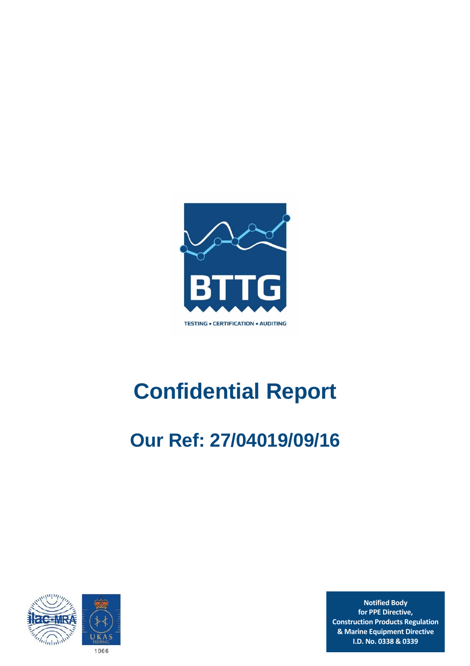

# **Confidential Report**

# **Our Ref: 27/04019/09/16**



**Notified Body for PPE Directive, Construction Products Regulation & Marine Equipment Directive I.D. No. 0338 & 0339**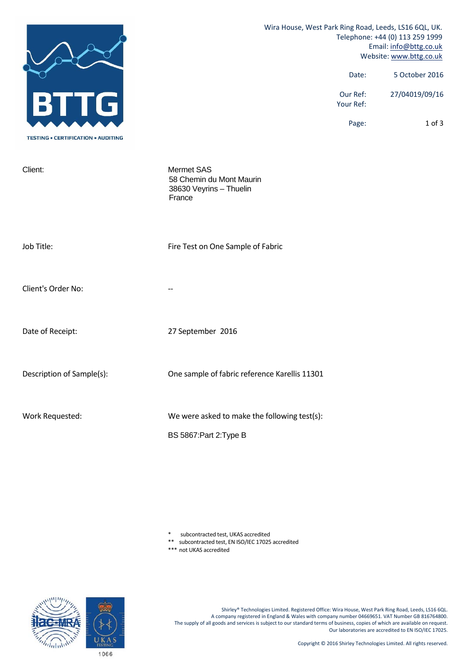|                                           | Wira House, West Park Ring Road, Leeds, LS16 6QL, UK.<br>Telephone: +44 (0) 113 259 1999<br>Email: info@bttg.co.uk<br>Website: www.bttg.co.uk |                       |                |
|-------------------------------------------|-----------------------------------------------------------------------------------------------------------------------------------------------|-----------------------|----------------|
|                                           |                                                                                                                                               | Date:                 | 5 October 2016 |
| BII<br>G                                  |                                                                                                                                               | Our Ref:<br>Your Ref: | 27/04019/09/16 |
| <b>TESTING • CERTIFICATION • AUDITING</b> |                                                                                                                                               | Page:                 | $1$ of $3$     |
| Client:                                   | Mermet SAS<br>58 Chemin du Mont Maurin<br>38630 Veyrins - Thuelin<br>France                                                                   |                       |                |
| Job Title:                                | Fire Test on One Sample of Fabric                                                                                                             |                       |                |
| Client's Order No:                        |                                                                                                                                               |                       |                |
| Date of Receipt:                          | 27 September 2016                                                                                                                             |                       |                |
| Description of Sample(s):                 | One sample of fabric reference Karellis 11301                                                                                                 |                       |                |
| Work Requested:                           | We were asked to make the following test(s):<br>BS 5867: Part 2: Type B                                                                       |                       |                |

\* subcontracted test, UKAS accredited

\*\* subcontracted test, EN ISO/IEC 17025 accredited

\*\*\* not UKAS accredited

Shirley® Technologies Limited. Registered Office: Wira House, West Park Ring Road, Leeds, LS16 6QL. A company registered in England & Wales with company number 04669651. VAT Number GB 816764800. The supply of all goods and services is subject to our standard terms of business, copies of which are available on request. Our laboratories are accredited to EN ISO/IEC 17025.

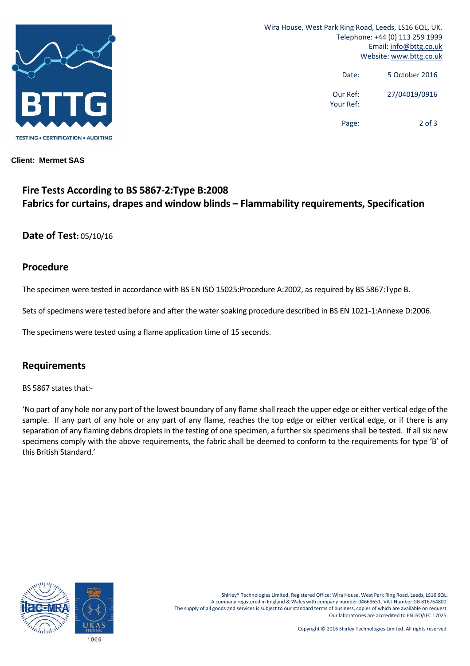

Wira House, West Park Ring Road, Leeds, LS16 6QL, UK. Telephone: +44 (0) 113 259 1999 Email: info@bttg.co.uk Website: www.bttg.co.uk

> Date: 5 October 2016 Our Ref: 27/04019/0916 Your Ref:

> > Page: 2 of 3

#### **Client: Mermet SAS**

# **Fire Tests According to BS 5867‐2:Type B:2008 Fabrics for curtains, drapes and window blinds – Flammability requirements, Specification**

#### **Date of Test:** 05/10/16

#### **Procedure**

The specimen were tested in accordance with BS EN ISO 15025:Procedure A:2002, as required by BS 5867:Type B.

Sets of specimens were tested before and after the water soaking procedure described in BS EN 1021-1:Annexe D:2006.

The specimens were tested using a flame application time of 15 seconds.

#### **Requirements**

BS 5867 states that:‐

'No part of any hole nor any part of the lowest boundary of any flame shall reach the upper edge or either vertical edge of the sample. If any part of any hole or any part of any flame, reaches the top edge or either vertical edge, or if there is any separation of any flaming debris droplets in the testing of one specimen, a further six specimens shall be tested. If all six new specimens comply with the above requirements, the fabric shall be deemed to conform to the requirements for type 'B' of this British Standard.'



Shirley® Technologies Limited. Registered Office: Wira House, West Park Ring Road, Leeds, LS16 6QL. A company registered in England & Wales with company number 04669651. VAT Number GB 816764800. The supply of all goods and services is subject to our standard terms of business, copies of which are available on request. Our laboratories are accredited to EN ISO/IEC 17025.